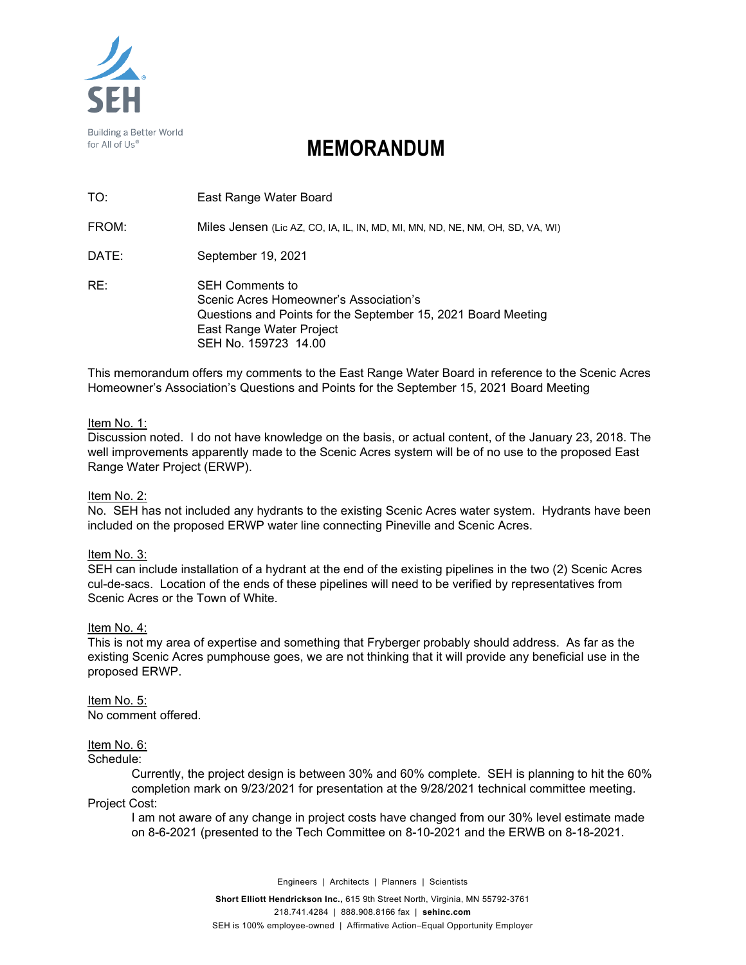

# **MEMORANDUM**

| TO:   | East Range Water Board                                                                                                                                                                |
|-------|---------------------------------------------------------------------------------------------------------------------------------------------------------------------------------------|
| FROM: | Miles Jensen (Lic AZ, CO, IA, IL, IN, MD, MI, MN, ND, NE, NM, OH, SD, VA, WI)                                                                                                         |
| DATE: | September 19, 2021                                                                                                                                                                    |
| RE:   | <b>SEH Comments to</b><br>Scenic Acres Homeowner's Association's<br>Questions and Points for the September 15, 2021 Board Meeting<br>East Range Water Project<br>SEH No. 159723 14.00 |

This memorandum offers my comments to the East Range Water Board in reference to the Scenic Acres Homeowner's Association's Questions and Points for the September 15, 2021 Board Meeting

# Item No. 1:

Discussion noted. I do not have knowledge on the basis, or actual content, of the January 23, 2018. The well improvements apparently made to the Scenic Acres system will be of no use to the proposed East Range Water Project (ERWP).

# Item No. 2:

No. SEH has not included any hydrants to the existing Scenic Acres water system. Hydrants have been included on the proposed ERWP water line connecting Pineville and Scenic Acres.

# Item No. 3:

SEH can include installation of a hydrant at the end of the existing pipelines in the two (2) Scenic Acres cul-de-sacs. Location of the ends of these pipelines will need to be verified by representatives from Scenic Acres or the Town of White.

#### Item No. 4:

This is not my area of expertise and something that Fryberger probably should address. As far as the existing Scenic Acres pumphouse goes, we are not thinking that it will provide any beneficial use in the proposed ERWP.

Item No. 5: No comment offered.

# Item No. 6:

# Schedule:

Currently, the project design is between 30% and 60% complete. SEH is planning to hit the 60% completion mark on 9/23/2021 for presentation at the 9/28/2021 technical committee meeting. Project Cost:

I am not aware of any change in project costs have changed from our 30% level estimate made on 8-6-2021 (presented to the Tech Committee on 8-10-2021 and the ERWB on 8-18-2021.

Engineers | Architects | Planners | Scientists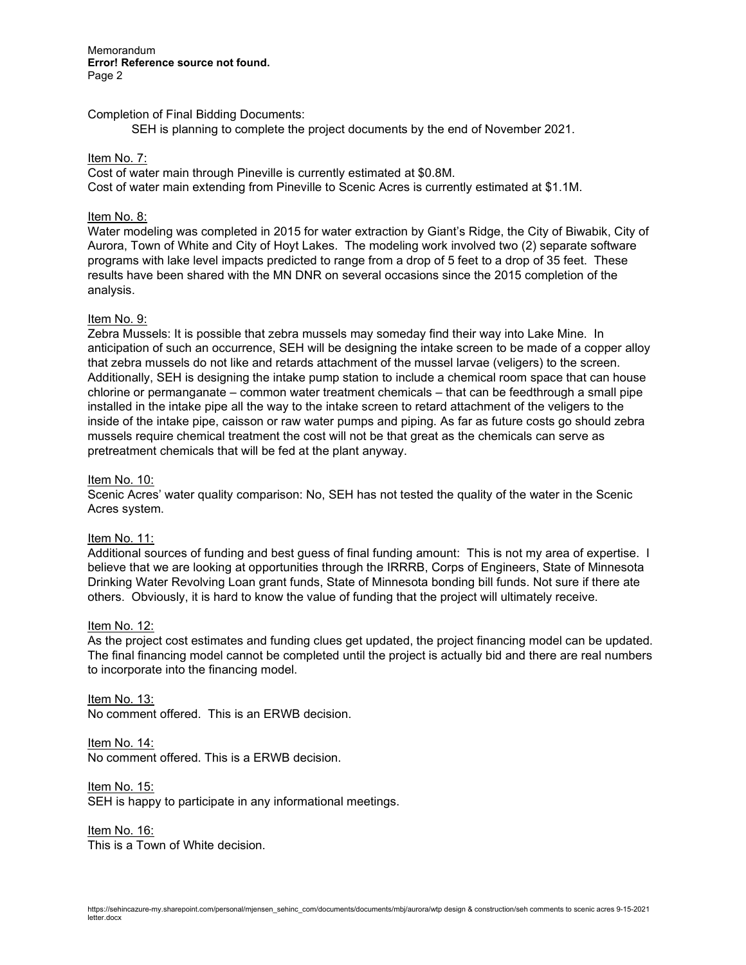**Memorandum Error! Reference source not found.** Page 2

## Completion of Final Bidding Documents:

SEH is planning to complete the project documents by the end of November 2021.

## Item No. 7:

Cost of water main through Pineville is currently estimated at \$0.8M. Cost of water main extending from Pineville to Scenic Acres is currently estimated at \$1.1M.

## Item No. 8:

Water modeling was completed in 2015 for water extraction by Giant's Ridge, the City of Biwabik, City of Aurora, Town of White and City of Hoyt Lakes. The modeling work involved two (2) separate software programs with lake level impacts predicted to range from a drop of 5 feet to a drop of 35 feet. These results have been shared with the MN DNR on several occasions since the 2015 completion of the analysis.

## Item No. 9:

Zebra Mussels: It is possible that zebra mussels may someday find their way into Lake Mine. In anticipation of such an occurrence, SEH will be designing the intake screen to be made of a copper alloy that zebra mussels do not like and retards attachment of the mussel larvae (veligers) to the screen. Additionally, SEH is designing the intake pump station to include a chemical room space that can house chlorine or permanganate – common water treatment chemicals – that can be feedthrough a small pipe installed in the intake pipe all the way to the intake screen to retard attachment of the veligers to the inside of the intake pipe, caisson or raw water pumps and piping. As far as future costs go should zebra mussels require chemical treatment the cost will not be that great as the chemicals can serve as pretreatment chemicals that will be fed at the plant anyway.

#### Item No. 10:

Scenic Acres' water quality comparison: No, SEH has not tested the quality of the water in the Scenic Acres system.

# Item No. 11:

Additional sources of funding and best guess of final funding amount: This is not my area of expertise. I believe that we are looking at opportunities through the IRRRB, Corps of Engineers, State of Minnesota Drinking Water Revolving Loan grant funds, State of Minnesota bonding bill funds. Not sure if there ate others. Obviously, it is hard to know the value of funding that the project will ultimately receive.

#### Item No. 12:

As the project cost estimates and funding clues get updated, the project financing model can be updated. The final financing model cannot be completed until the project is actually bid and there are real numbers to incorporate into the financing model.

Item No. 13: No comment offered. This is an ERWB decision.

Item No. 14: No comment offered. This is a ERWB decision.

Item No. 15: SEH is happy to participate in any informational meetings.

Item No. 16: This is a Town of White decision.